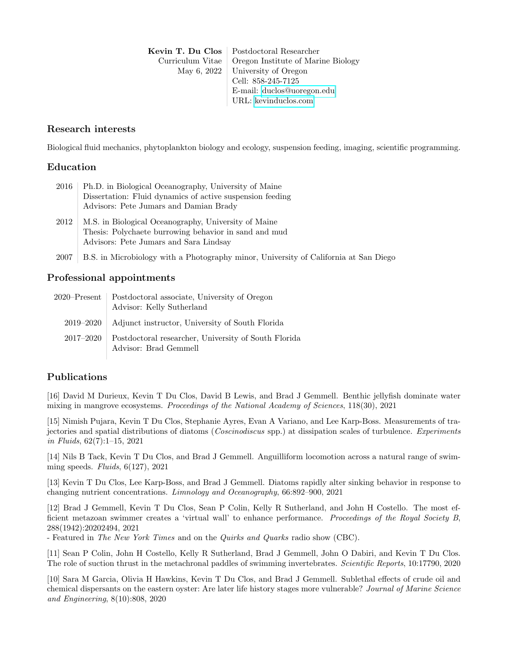Kevin T. Du Clos | Postdoctoral Researcher Curriculum Vitae | Oregon Institute of Marine Biology May 6, 2022 | University of Oregon Cell: 858-245-7125 E-mail: [duclos@uoregon.edu](mailto:duclos@uoregon.edu) URL: [kevinduclos.com](https://kevinduclos.com)

### Research interests

Biological fluid mechanics, phytoplankton biology and ecology, suspension feeding, imaging, scientific programming.

### Education

| 2016 | Ph.D. in Biological Oceanography, University of Maine     |
|------|-----------------------------------------------------------|
|      | Dissertation: Fluid dynamics of active suspension feeding |
|      | Advisors: Pete Jumars and Damian Brady                    |
| 2012 | M.S. in Biological Oceanography, University of Maine      |
|      | Thesis: Polychaete burrowing behavior in sand and mud     |
|      | Advisors: Pete Jumars and Sara Lindsay                    |

2007 B.S. in Microbiology with a Photography minor, University of California at San Diego

### Professional appointments

| 2020–Present  | Postdoctoral associate, University of Oregon<br>Advisor: Kelly Sutherland     |
|---------------|-------------------------------------------------------------------------------|
| 2019–2020     | Adjunct instructor, University of South Florida                               |
| $2017 - 2020$ | Postdoctoral researcher, University of South Florida<br>Advisor: Brad Gemmell |

### Publications

[16] David M Durieux, Kevin T Du Clos, David B Lewis, and Brad J Gemmell. Benthic jellyfish dominate water mixing in mangrove ecosystems. Proceedings of the National Academy of Sciences, 118(30), 2021

[15] Nimish Pujara, Kevin T Du Clos, Stephanie Ayres, Evan A Variano, and Lee Karp-Boss. Measurements of trajectories and spatial distributions of diatoms (Coscinodiscus spp.) at dissipation scales of turbulence. Experiments in Fluids, 62(7):1–15, 2021

[14] Nils B Tack, Kevin T Du Clos, and Brad J Gemmell. Anguilliform locomotion across a natural range of swimming speeds. Fluids,  $6(127)$ , 2021

[13] Kevin T Du Clos, Lee Karp-Boss, and Brad J Gemmell. Diatoms rapidly alter sinking behavior in response to changing nutrient concentrations. Limnology and Oceanography, 66:892–900, 2021

[12] Brad J Gemmell, Kevin T Du Clos, Sean P Colin, Kelly R Sutherland, and John H Costello. The most efficient metazoan swimmer creates a 'virtual wall' to enhance performance. Proceedings of the Royal Society B, 288(1942):20202494, 2021

- Featured in The New York Times and on the Quirks and Quarks radio show (CBC).

[11] Sean P Colin, John H Costello, Kelly R Sutherland, Brad J Gemmell, John O Dabiri, and Kevin T Du Clos. The role of suction thrust in the metachronal paddles of swimming invertebrates. Scientific Reports, 10:17790, 2020

[10] Sara M Garcia, Olivia H Hawkins, Kevin T Du Clos, and Brad J Gemmell. Sublethal effects of crude oil and chemical dispersants on the eastern oyster: Are later life history stages more vulnerable? Journal of Marine Science and Engineering, 8(10):808, 2020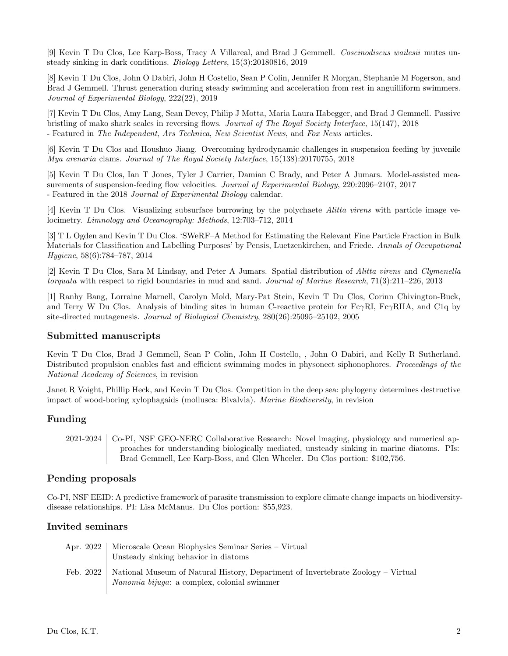[9] Kevin T Du Clos, Lee Karp-Boss, Tracy A Villareal, and Brad J Gemmell. Coscinodiscus wailesii mutes unsteady sinking in dark conditions. Biology Letters, 15(3):20180816, 2019

[8] Kevin T Du Clos, John O Dabiri, John H Costello, Sean P Colin, Jennifer R Morgan, Stephanie M Fogerson, and Brad J Gemmell. Thrust generation during steady swimming and acceleration from rest in anguilliform swimmers. Journal of Experimental Biology, 222(22), 2019

[7] Kevin T Du Clos, Amy Lang, Sean Devey, Philip J Motta, Maria Laura Habegger, and Brad J Gemmell. Passive bristling of mako shark scales in reversing flows. Journal of The Royal Society Interface, 15(147), 2018 - Featured in The Independent, Ars Technica, New Scientist News, and Fox News articles.

[6] Kevin T Du Clos and Houshuo Jiang. Overcoming hydrodynamic challenges in suspension feeding by juvenile Mya arenaria clams. Journal of The Royal Society Interface, 15(138):20170755, 2018

[5] Kevin T Du Clos, Ian T Jones, Tyler J Carrier, Damian C Brady, and Peter A Jumars. Model-assisted measurements of suspension-feeding flow velocities. Journal of Experimental Biology, 220:2096–2107, 2017 - Featured in the 2018 Journal of Experimental Biology calendar.

[4] Kevin T Du Clos. Visualizing subsurface burrowing by the polychaete Alitta virens with particle image velocimetry. Limnology and Oceanography: Methods, 12:703–712, 2014

[3] T L Ogden and Kevin T Du Clos. 'SWeRF–A Method for Estimating the Relevant Fine Particle Fraction in Bulk Materials for Classification and Labelling Purposes' by Pensis, Luetzenkirchen, and Friede. Annals of Occupational Hygiene, 58(6):784–787, 2014

[2] Kevin T Du Clos, Sara M Lindsay, and Peter A Jumars. Spatial distribution of Alitta virens and Clymenella torquata with respect to rigid boundaries in mud and sand. Journal of Marine Research, 71(3):211–226, 2013

[1] Ranhy Bang, Lorraine Marnell, Carolyn Mold, Mary-Pat Stein, Kevin T Du Clos, Corinn Chivington-Buck, and Terry W Du Clos. Analysis of binding sites in human C-reactive protein for Fc $\gamma$ RI, Fc $\gamma$ RIIA, and C1q by site-directed mutagenesis. Journal of Biological Chemistry, 280(26):25095–25102, 2005

### Submitted manuscripts

Kevin T Du Clos, Brad J Gemmell, Sean P Colin, John H Costello, , John O Dabiri, and Kelly R Sutherland. Distributed propulsion enables fast and efficient swimming modes in physonect siphonophores. Proceedings of the National Academy of Sciences, in revision

Janet R Voight, Phillip Heck, and Kevin T Du Clos. Competition in the deep sea: phylogeny determines destructive impact of wood-boring xylophagaids (mollusca: Bivalvia). Marine Biodiversity, in revision

### Funding

2021-2024 Co-PI, NSF GEO-NERC Collaborative Research: Novel imaging, physiology and numerical approaches for understanding biologically mediated, unsteady sinking in marine diatoms. PIs: Brad Gemmell, Lee Karp-Boss, and Glen Wheeler. Du Clos portion: \$102,756.

### Pending proposals

Co-PI, NSF EEID: A predictive framework of parasite transmission to explore climate change impacts on biodiversitydisease relationships. PI: Lisa McManus. Du Clos portion: \$55,923.

### Invited seminars

| Apr. 2022   | Microscale Ocean Biophysics Seminar Series – Virtual<br>Unsteady sinking behavior in diatoms                                            |
|-------------|-----------------------------------------------------------------------------------------------------------------------------------------|
| Feb. $2022$ | National Museum of Natural History, Department of Invertebrate Zoology – Virtual<br><i>Nanomia bijuga</i> : a complex, colonial swimmer |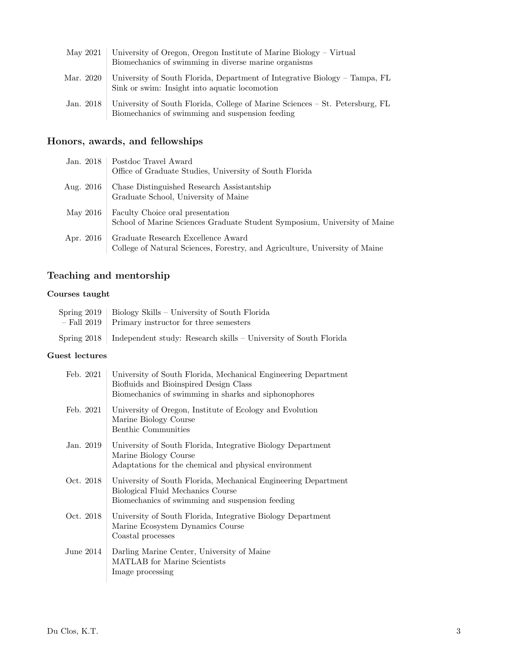| May 2021  | University of Oregon, Oregon Institute of Marine Biology – Virtual<br>Biomechanics of swimming in diverse marine organisms      |
|-----------|---------------------------------------------------------------------------------------------------------------------------------|
| Mar. 2020 | University of South Florida, Department of Integrative Biology – Tampa, FL<br>Sink or swim: Insight into aquatic locomotion     |
| Jan. 2018 | University of South Florida, College of Marine Sciences – St. Petersburg, FL<br>Biomechanics of swimming and suspension feeding |

# Honors, awards, and fellowships

| Jan. 2018 | Postdoc Travel Award<br>Office of Graduate Studies, University of South Florida                                   |
|-----------|-------------------------------------------------------------------------------------------------------------------|
| Aug. 2016 | Chase Distinguished Research Assistantship<br>Graduate School, University of Maine                                |
| May 2016  | Faculty Choice oral presentation<br>School of Marine Sciences Graduate Student Symposium, University of Maine     |
| Apr. 2016 | Graduate Research Excellence Award<br>College of Natural Sciences, Forestry, and Agriculture, University of Maine |

# Teaching and mentorship

# Courses taught

| Spring 2019   Biology Skills – University of South Florida                     |
|--------------------------------------------------------------------------------|
| $-$ Fall 2019   Primary instructor for three semesters                         |
| Spring 2018   Independent study: Research skills – University of South Florida |

### Guest lectures

| Feb. 2021   | University of South Florida, Mechanical Engineering Department<br>Biofluids and Bioinspired Design Class<br>Biomechanics of swimming in sharks and siphonophores |
|-------------|------------------------------------------------------------------------------------------------------------------------------------------------------------------|
| Feb. 2021   | University of Oregon, Institute of Ecology and Evolution<br>Marine Biology Course<br>Benthic Communities                                                         |
| Jan. 2019   | University of South Florida, Integrative Biology Department<br>Marine Biology Course<br>Adaptations for the chemical and physical environment                    |
| Oct. 2018   | University of South Florida, Mechanical Engineering Department<br>Biological Fluid Mechanics Course<br>Biomechanics of swimming and suspension feeding           |
| Oct. 2018   | University of South Florida, Integrative Biology Department<br>Marine Ecosystem Dynamics Course<br>Coastal processes                                             |
| June $2014$ | Darling Marine Center, University of Maine<br><b>MATLAB</b> for Marine Scientists<br>Image processing                                                            |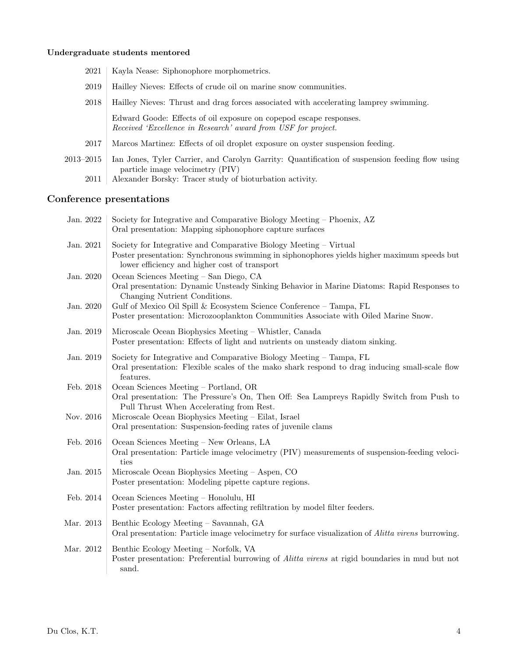# Undergraduate students mentored

| 2021      | Kayla Nease: Siphonophore morphometrics.                                                                                            |
|-----------|-------------------------------------------------------------------------------------------------------------------------------------|
| 2019      | Hailley Nieves: Effects of crude oil on marine snow communities.                                                                    |
| 2018      | Hailley Nieves: Thrust and drag forces associated with accelerating lamprey swimming.                                               |
|           | Edward Goode: Effects of oil exposure on copepod escape responses.<br>Received 'Excellence in Research' award from USF for project. |
| 2017      | Marcos Martinez: Effects of oil droplet exposure on oyster suspension feeding.                                                      |
| 2013–2015 | Ian Jones, Tyler Carrier, and Carolyn Garrity: Quantification of suspension feeding flow using<br>particle image velocimetry (PIV)  |
| 2011      | Alexander Borsky: Tracer study of bioturbation activity.                                                                            |

# Conference presentations

| Jan. 2022 | Society for Integrative and Comparative Biology Meeting – Phoenix, AZ<br>Oral presentation: Mapping siphonophore capture surfaces                                                                                 |
|-----------|-------------------------------------------------------------------------------------------------------------------------------------------------------------------------------------------------------------------|
| Jan. 2021 | Society for Integrative and Comparative Biology Meeting – Virtual<br>Poster presentation: Synchronous swimming in siphonophores yields higher maximum speeds but<br>lower efficiency and higher cost of transport |
| Jan. 2020 | Ocean Sciences Meeting - San Diego, CA<br>Oral presentation: Dynamic Unsteady Sinking Behavior in Marine Diatoms: Rapid Responses to<br>Changing Nutrient Conditions.                                             |
| Jan. 2020 | Gulf of Mexico Oil Spill & Ecosystem Science Conference - Tampa, FL<br>Poster presentation: Microzooplankton Communities Associate with Oiled Marine Snow.                                                        |
| Jan. 2019 | Microscale Ocean Biophysics Meeting – Whistler, Canada<br>Poster presentation: Effects of light and nutrients on unsteady diatom sinking.                                                                         |
| Jan. 2019 | Society for Integrative and Comparative Biology Meeting – Tampa, FL<br>Oral presentation: Flexible scales of the make shark respond to drag inducing small-scale flow<br>features.                                |
| Feb. 2018 | Ocean Sciences Meeting - Portland, OR<br>Oral presentation: The Pressure's On, Then Off: Sea Lampreys Rapidly Switch from Push to<br>Pull Thrust When Accelerating from Rest.                                     |
| Nov. 2016 | Microscale Ocean Biophysics Meeting - Eilat, Israel<br>Oral presentation: Suspension-feeding rates of juvenile clams                                                                                              |
| Feb. 2016 | Ocean Sciences Meeting - New Orleans, LA<br>Oral presentation: Particle image velocimetry (PIV) measurements of suspension-feeding veloci-<br>ties                                                                |
| Jan. 2015 | Microscale Ocean Biophysics Meeting – Aspen, CO<br>Poster presentation: Modeling pipette capture regions.                                                                                                         |
| Feb. 2014 | Ocean Sciences Meeting – Honolulu, HI<br>Poster presentation: Factors affecting refiltration by model filter feeders.                                                                                             |
| Mar. 2013 | Benthic Ecology Meeting - Savannah, GA<br>Oral presentation: Particle image velocimetry for surface visualization of <i>Alitta virens</i> burrowing.                                                              |
| Mar. 2012 | Benthic Ecology Meeting - Norfolk, VA<br>Poster presentation: Preferential burrowing of <i>Alitta virens</i> at rigid boundaries in mud but not<br>sand.                                                          |
|           |                                                                                                                                                                                                                   |